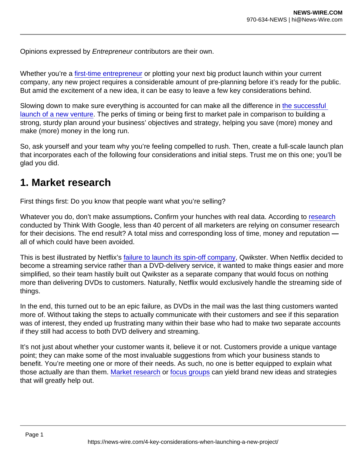Opinions expressed by Entrepreneur contributors are their own.

Whether you're a [first-time entrepreneur](https://www.entrepreneur.com/article/316822) or plotting your next big product launch within your current company, any new project requires a considerable amount of pre-planning before it's ready for the public. But amid the excitement of a new idea, it can be easy to leave a few key considerations behind.

Slowing down to make sure everything is accounted for can make all the difference in [the successful](https://www.entrepreneur.com/article/311493)  [launch of a new venture](https://www.entrepreneur.com/article/311493). The perks of timing or being first to market pale in comparison to building a strong, sturdy plan around your business' objectives and strategy, helping you save (more) money and make (more) money in the long run.

So, ask yourself and your team why you're feeling compelled to rush. Then, create a full-scale launch plan that incorporates each of the following four considerations and initial steps. Trust me on this one; you'll be glad you did.

## 1. Market research

First things first: Do you know that people want what you're selling?

Whatever you do, don't make assumptions. Confirm your hunches with real data. According to [research](https://www.thinkwithgoogle.com/consumer-insights/consumer-trends/marketing-consumer-research-statistics/) conducted by Think With Google, less than 40 percent of all marketers are relying on consumer research for their decisions. The end result? A total miss and corresponding loss of time, money and reputation all of which could have been avoided.

This is best illustrated by Netflix's [failure to launch its spin-off company,](https://qz.com/1245107/as-netflix-turns-20-lets-revisit-its-biggest-blunder/) Qwikster. When Netflix decided to become a streaming service rather than a DVD-delivery service, it wanted to make things easier and more simplified, so their team hastily built out Qwikster as a separate company that would focus on nothing more than delivering DVDs to customers. Naturally, Netflix would exclusively handle the streaming side of things.

In the end, this turned out to be an epic failure, as DVDs in the mail was the last thing customers wanted more of. Without taking the steps to actually communicate with their customers and see if this separation was of interest, they ended up frustrating many within their base who had to make two separate accounts if they still had access to both DVD delivery and streaming.

It's not just about whether your customer wants it, believe it or not. Customers provide a unique vantage point; they can make some of the most invaluable suggestions from which your business stands to benefit. You're meeting one or more of their needs. As such, no one is better equipped to explain what those actually are than them. [Market research](https://www.entrepreneur.com/article/365191) or [focus groups](https://www.score.org/resource/how-run-focus-group-assess-your-business-idea) can yield brand new ideas and strategies that will greatly help out.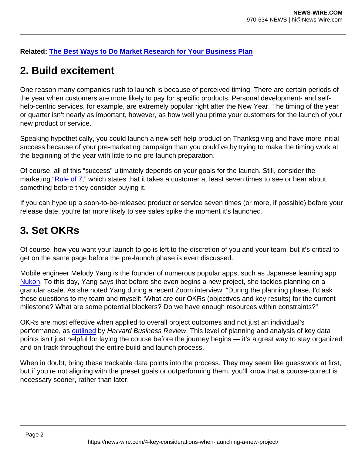Related: [The Best Ways to Do Market Research for Your Business Plan](https://www.entrepreneur.com/article/241080)

## 2. Build excitement

One reason many companies rush to launch is because of perceived timing. There are certain periods of the year when customers are more likely to pay for specific products. Personal development- and selfhelp-centric services, for example, are extremely popular right after the New Year. The timing of the year or quarter isn't nearly as important, however, as how well you prime your customers for the launch of your new product or service.

Speaking hypothetically, you could launch a new self-help product on Thanksgiving and have more initial success because of your pre-marketing campaign than you could've by trying to make the timing work at the beginning of the year with little to no pre-launch preparation.

Of course, all of this "success" ultimately depends on your goals for the launch. Still, consider the marketing ["Rule of 7](https://www.krusecontrolinc.com/rule-of-7-how-social-media-crushes-old-school-marketing/)," which states that it takes a customer at least seven times to see or hear about something before they consider buying it.

If you can hype up a soon-to-be-released product or service seven times (or more, if possible) before your release date, you're far more likely to see sales spike the moment it's launched.

## 3. Set OKRs

Of course, how you want your launch to go is left to the discretion of you and your team, but it's critical to get on the same page before the pre-launch phase is even discussed.

Mobile engineer Melody Yang is the founder of numerous popular apps, such as Japanese learning app [Nukon.](https://apps.apple.com/us/app/nukon/id1363606166) To this day, Yang says that before she even begins a new project, she tackles planning on a granular scale. As she noted Yang during a recent Zoom interview, "During the planning phase, I'd ask these questions to my team and myself: 'What are our OKRs (objectives and key results) for the current milestone? What are some potential blockers? Do we have enough resources within constraints?"

OKRs are most effective when applied to overall project outcomes and not just an individual's performance, as [outlined](https://hbr.org/2020/12/use-okrs-to-set-goals-for-teams-not-individuals) by Harvard Business Review. This level of planning and analysis of key data points isn't just helpful for laying the course before the journey begins — it's a great way to stay organized and on-track throughout the entire build and launch process.

When in doubt, bring these trackable data points into the process. They may seem like guesswork at first, but if you're not aligning with the preset goals or outperforming them, you'll know that a course-correct is necessary sooner, rather than later.